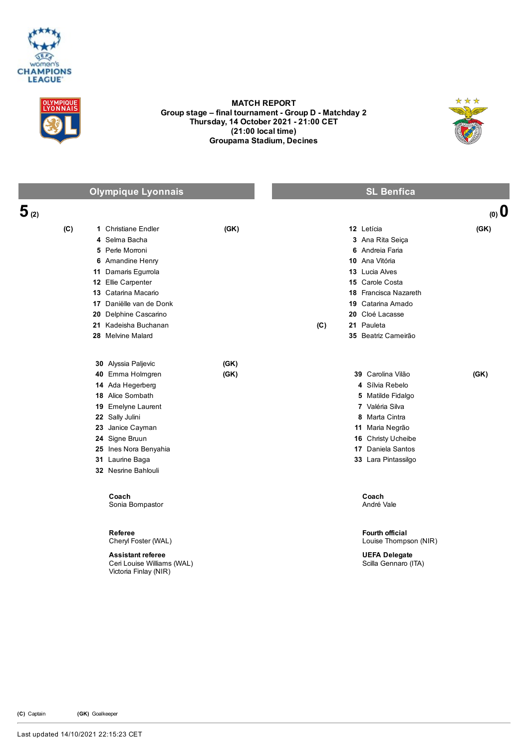



## MATCH REPORT Group stage – final tournament - Group D - Matchday 2 Thursday, 14 October 2021 21:00 CET (21:00 local time) Groupama Stadium, Decines



|           | <b>Olympique Lyonnais</b>                                                                                                                                                                                                                        |              | <b>SL Benfica</b>                                                                                                                                                                                                                    |
|-----------|--------------------------------------------------------------------------------------------------------------------------------------------------------------------------------------------------------------------------------------------------|--------------|--------------------------------------------------------------------------------------------------------------------------------------------------------------------------------------------------------------------------------------|
| $5_{(2)}$ |                                                                                                                                                                                                                                                  |              | (0, 0)                                                                                                                                                                                                                               |
| (C)       | 1 Christiane Endler<br>4 Selma Bacha<br>5 Perle Morroni<br>6 Amandine Henry<br>11 Damaris Egurrola<br>12 Ellie Carpenter<br>13 Catarina Macario<br>17 Daniëlle van de Donk<br>20 Delphine Cascarino<br>21 Kadeisha Buchanan<br>28 Melvine Malard | (GK)         | 12 Letícia<br>(GK)<br>3 Ana Rita Seiça<br>6 Andreia Faria<br>10 Ana Vitória<br><b>13</b> Lucia Alves<br>15 Carole Costa<br>18 Francisca Nazareth<br>19 Catarina Amado<br>20 Cloé Lacasse<br>(C)<br>21 Pauleta<br>35 Beatriz Cameirão |
|           | 30 Alyssia Paljevic<br>40 Emma Holmgren<br>14 Ada Hegerberg<br>18 Alice Sombath<br>19 Emelyne Laurent<br>22 Sally Julini<br>23 Janice Cayman<br>24 Signe Bruun<br>25 Ines Nora Benyahia<br>31 Laurine Baga<br>32 Nesrine Bahlouli                | (GK)<br>(GK) | 39 Carolina Vilão<br>(GK)<br>4 Sílvia Rebelo<br>5 Matilde Fidalgo<br>7 Valéria Silva<br>8 Marta Cintra<br>11 Maria Negrão<br>16 Christy Ucheibe<br>17 Daniela Santos<br>33 Lara Pintassilgo                                          |
|           | Coach<br>Sonia Bompastor<br>Referee<br>Cheryl Foster (WAL)<br><b>Assistant referee</b><br>Ceri Louise Williams (WAL)<br>Victoria Finlay (NIR)                                                                                                    |              | Coach<br>André Vale<br><b>Fourth official</b><br>Louise Thompson (NIR)<br><b>UEFA Delegate</b><br>Scilla Gennaro (ITA)                                                                                                               |